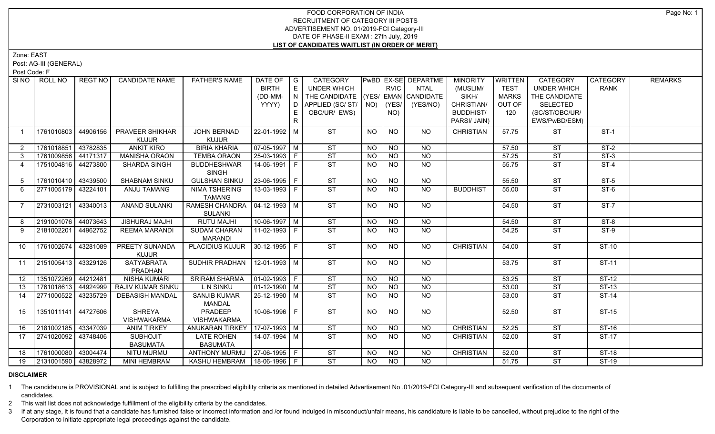## FOOD CORPORATION OF INDIA RECRUITMENT OF CATEGORY III POSTS ADVERTISEMENT NO. 01/2019-FCI Category-III DATE OF PHASE-II EXAM : 27th July, 2019 **LIST OF CANDIDATES WAITLIST (IN ORDER OF MERIT)**

Zone: EAST

Post: AG-III (GENERAL)

Post Code: F

| SI NO           | ROLL NO             | REGT NO  | <b>CANDIDATE NAME</b>          | <b>FATHER'S NAME</b>             | DATE OF            | I G | CATEGORY                           |           |                 | PwBD EX-SE DEPARTME | <b>MINORITY</b>  | WRITTEN      | <b>CATEGORY</b>        | <b>CATEGORY</b> | <b>REMARKS</b> |
|-----------------|---------------------|----------|--------------------------------|----------------------------------|--------------------|-----|------------------------------------|-----------|-----------------|---------------------|------------------|--------------|------------------------|-----------------|----------------|
|                 |                     |          |                                |                                  | <b>BIRTH</b>       | E   | UNDER WHICH                        |           | <b>RVIC</b>     | <b>NTAL</b>         | (MUSLIM/         | <b>TEST</b>  | <b>UNDER WHICH</b>     | <b>RANK</b>     |                |
|                 |                     |          |                                |                                  | (DD-MM-            | N   | THE CANDIDATE (YES/ EMAN CANDIDATE |           |                 |                     | SIKH/            | <b>MARKS</b> | THE CANDIDATE          |                 |                |
|                 |                     |          |                                |                                  | YYYY)              | D   | APPLIED (SC/ ST/   NO)             |           | (YES/           | (YES/NO)            | CHRISTIAN/       | OUT OF       | <b>SELECTED</b>        |                 |                |
|                 |                     |          |                                |                                  |                    |     | OBC/UR/ EWS)                       |           | NO)             |                     | <b>BUDDHIST/</b> | 120          | (SC/ST/OBC/UR/         |                 |                |
|                 |                     |          |                                |                                  |                    | R   |                                    |           |                 |                     | PARSI/ JAIN)     |              | EWS/PwBD/ESM)          |                 |                |
| $\overline{1}$  | 1761010803          | 44906156 | PRAVEER SHIKHAR                | JOHN BERNAD                      | 22-01-1992 M       |     | <b>ST</b>                          | <b>NO</b> | <b>NO</b>       | <b>NO</b>           | <b>CHRISTIAN</b> | 57.75        | <b>ST</b>              | $ST-1$          |                |
|                 |                     |          | <b>KUJUR</b>                   | <b>KUJUR</b>                     |                    |     |                                    |           |                 |                     |                  |              |                        |                 |                |
| 2               | 1761018851 43782835 |          | <b>ANKIT KIRO</b>              | <b>BIRIA KHARIA</b>              | 07-05-1997   M     |     | <b>ST</b>                          | NO.       | <b>NO</b>       | <b>NO</b>           |                  | 57.50        | <b>ST</b>              | $ST-2$          |                |
| $\mathbf{3}$    | 1761009856          | 44171317 | <b>MANISHA ORAON</b>           | <b>TEMBA ORAON</b>               | $25-03-1993$ F     |     | ST                                 | <b>NO</b> | <b>NO</b>       | <b>NO</b>           |                  | 57.25        | <b>ST</b>              | $ST-3$          |                |
| 4               | 1751004816 44273800 |          | <b>SHARDA SINGH</b>            | <b>BUDDHESHWAR</b>               | 14-06-1991   F     |     | <b>ST</b>                          | <b>NO</b> | NO.             | <b>NO</b>           |                  | 55.75        | <b>ST</b>              | $ST-4$          |                |
|                 |                     |          |                                | <b>SINGH</b>                     |                    |     |                                    |           |                 |                     |                  |              |                        |                 |                |
| 5               | 1761010410 43439500 |          | SHABNAM SINKU                  | <b>GULSHAN SINKU</b>             | 23-06-1995 F       |     | ST                                 | <b>NO</b> | $\overline{NO}$ | $\overline{NO}$     |                  | 55.50        | ST                     | $ST-5$          |                |
| 6               | 2771005179 43224101 |          | ANJU TAMANG                    | <b>NIMA TSHERING</b>             | $13 - 03 - 1993$ F |     | ST                                 | NO.       | NO.             | <b>NO</b>           | <b>BUDDHIST</b>  | 55.00        | <b>ST</b>              | $ST-6$          |                |
|                 |                     |          |                                | <b>TAMANG</b>                    |                    |     |                                    |           |                 |                     |                  |              |                        |                 |                |
| $\overline{7}$  | 2731003121 43340013 |          | <b>ANAND SULANKI</b>           | RAMESH CHANDRA   04-12-1993   M  |                    |     | ST                                 | <b>NO</b> | N <sub>O</sub>  | NO                  |                  | 54.50        | $\overline{\text{ST}}$ | $ST-7$          |                |
|                 |                     |          |                                | <b>SULANKI</b>                   |                    |     |                                    |           |                 |                     |                  |              |                        |                 |                |
| 8               | 2191001076 44073643 |          | <b>JISHURAJ MAJHI</b>          | <b>RUTU MAJHI</b>                | $10-06-1997$ M     |     | ST                                 | <b>NO</b> | $N$ O           | $N$ <sup>O</sup>    |                  | 54.50        | ST                     | $ST-8$          |                |
| 9               | 2181002201 44962752 |          | <b>REEMA MARANDI</b>           | <b>SUDAM CHARAN</b>              | $11-02-1993$ F     |     | ST                                 | <b>NO</b> | NO              | NO                  |                  | 54.25        | <b>ST</b>              | $ST-9$          |                |
|                 |                     |          |                                | <b>MARANDI</b>                   |                    |     |                                    |           |                 |                     |                  |              |                        |                 |                |
| 10 <sup>°</sup> | 1761002674 43281089 |          | PREETY SUNANDA                 | PLACIDIUS KUJUR 30-12-1995   F   |                    |     | ST                                 | NO.       | NO              | NO                  | <b>CHRISTIAN</b> | 54.00        | ST                     | <b>ST-10</b>    |                |
|                 |                     |          | <b>KUJUR</b>                   |                                  |                    |     |                                    |           |                 |                     |                  |              |                        |                 |                |
| 11              | 2151005413 43329126 |          | <b>SATYABRATA</b>              | SUDHIR PRADHAN                   | $12 - 01 - 1993$ M |     | ST                                 | NO.       | <b>NO</b>       | NO                  |                  | 53.75        | <b>ST</b>              | <b>ST-11</b>    |                |
| 12              | 1351072269 44212481 |          | PRADHAN<br><b>NISHA KUMARI</b> | <b>SRIRAM SHARMA</b>             | $ 01-02-1993 F$    |     | <b>ST</b>                          | NO.       | <b>NO</b>       | <b>NO</b>           |                  | 53.25        | <b>ST</b>              | ST-12           |                |
| 13              | 1761018613 44924999 |          | <b>RAJIV KUMAR SINKU</b>       | L N SINKU                        | 01-12-1990   M     |     | ST                                 | <b>NO</b> | <b>NO</b>       | $\overline{NQ}$     |                  | 53.00        | <b>ST</b>              | $ST-13$         |                |
| 14              | 2771000522 43235729 |          | <b>DEBASISH MANDAL</b>         | <b>SANJIB KUMAR</b>              | 25-12-1990   M     |     | ST                                 | <b>NO</b> | <b>NO</b>       | $\overline{NO}$     |                  | 53.00        | ST                     | $ST-14$         |                |
|                 |                     |          |                                | MANDAL                           |                    |     |                                    |           |                 |                     |                  |              |                        |                 |                |
| 15              | 1351011141 44727606 |          | <b>SHREYA</b>                  | <b>PRADEEP</b>                   | $10-06-1996$ F     |     | ST                                 | NO.       | <b>NO</b>       | $\overline{NO}$     |                  | 52.50        | <b>ST</b>              | $ST-15$         |                |
|                 |                     |          | <b>VISHWAKARMA</b>             | <b>VISHWAKARMA</b>               |                    |     |                                    |           |                 |                     |                  |              |                        |                 |                |
| 16              | 2181002185 43347039 |          | <b>ANIM TIRKEY</b>             | ANUKARAN TIRKEY   17-07-1993   M |                    |     | $\overline{\text{ST}}$             | <b>NO</b> | <b>NO</b>       | <b>NO</b>           | <b>CHRISTIAN</b> | 52.25        | <b>ST</b>              | $ST-16$         |                |
| 17              | 2741020092 43748406 |          | <b>SUBHOJIT</b>                | <b>LATE ROHEN</b>                | $14 - 07 - 1994$ M |     | ST                                 | <b>NO</b> | <b>NO</b>       | <b>NO</b>           | <b>CHRISTIAN</b> | 52.00        | <b>ST</b>              | $ST-17$         |                |
|                 |                     |          | <b>BASUMATA</b>                | <b>BASUMATA</b>                  |                    |     |                                    |           |                 |                     |                  |              |                        |                 |                |
| 18              | 1761000080 43004474 |          | <b>NITU MURMU</b>              | ANTHONY MURMU                    | $27-06-1995$ F     |     | ST                                 | <b>NO</b> | <b>NO</b>       | <b>NO</b>           | <b>CHRISTIAN</b> | 52.00        | <b>ST</b>              | <b>ST-18</b>    |                |
| 19              | 2131001590 43828972 |          | <b>MINI HEMBRAM</b>            | KASHU HEMBRAM   18-06-1996   F   |                    |     | ST                                 | NO        | NO              | <b>NO</b>           |                  | 51.75        | <b>ST</b>              | $ST-19$         |                |
|                 |                     |          |                                |                                  |                    |     |                                    |           |                 |                     |                  |              |                        |                 |                |

## **DISCLAIMER**

1 The candidature is PROVISIONAL and is subject to fulfilling the prescribed eligibility criteria as mentioned in detailed Advertisement No .01/2019-FCI Category-III and subsequent verification of the documents of candidates.

2 This wait list does not acknowledge fulfillment of the eligibility criteria by the candidates.

3 If at any stage, it is found that a candidate has furnished false or incorrect information and /or found indulged in misconduct/unfair means, his candidature is liable to be cancelled, without prejudice to the right of t Corporation to initiate appropriate legal proceedings against the candidate.

Page No: 1